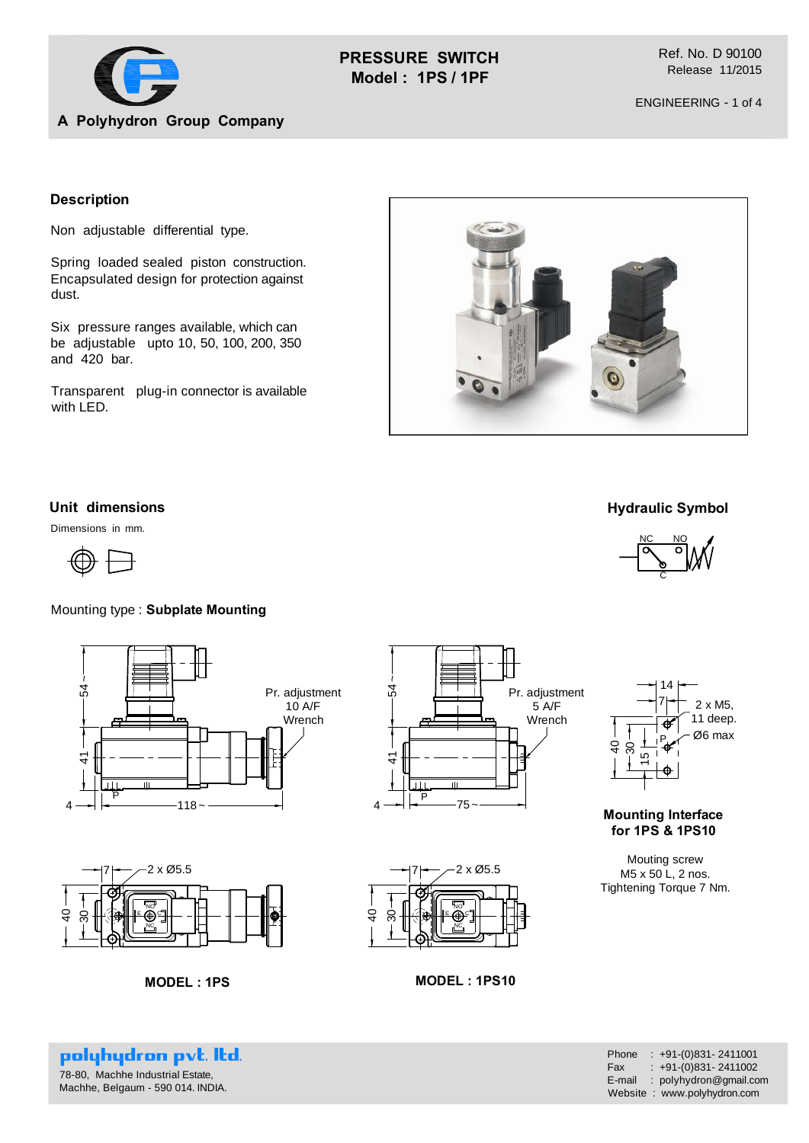

**PRESSURE SWITCH Model : 1PS / 1PF**

Ref. No. D 90100 Release 11/2015

ENGINEERING - 1 of 4

# **A Polyhydron Group Company**

## **Description**

Non adjustable differential type.

Spring loaded sealed piston construction. Encapsulated design for protection against dust.

Six pressure ranges available, which can be adjustable upto 10, 50, 100, 200, 350 and 420 bar.

Transparent plug-in connector is available with LED.



# **Unit dimensions**

Dimensions in mm.



## Mounting type : **Subplate Mounting**





**MODEL : 1PS MODEL : 1PS10**





**Mounting Interface for 1PS & 1PS10**

Mouting screw M5 x 50 L, 2 nos. Tightening Torque 7 Nm.

2 x Ø5.5

NC C NO E

30

 $\frac{6}{4}$ 

polyhydron pvt. Itd. 78-80, Machhe Industrial Estate, Machhe, Belgaum - 590 014. INDIA.

| Phone  | $: +91-(0)831 - 2411001$    |
|--------|-----------------------------|
| Fax    | $: +91-(0)831 - 2411002$    |
| E-mail | : polyhydron@gmail.com      |
|        | Website: www.polyhydron.com |

### **Hydraulic Symbol**

C

NC NO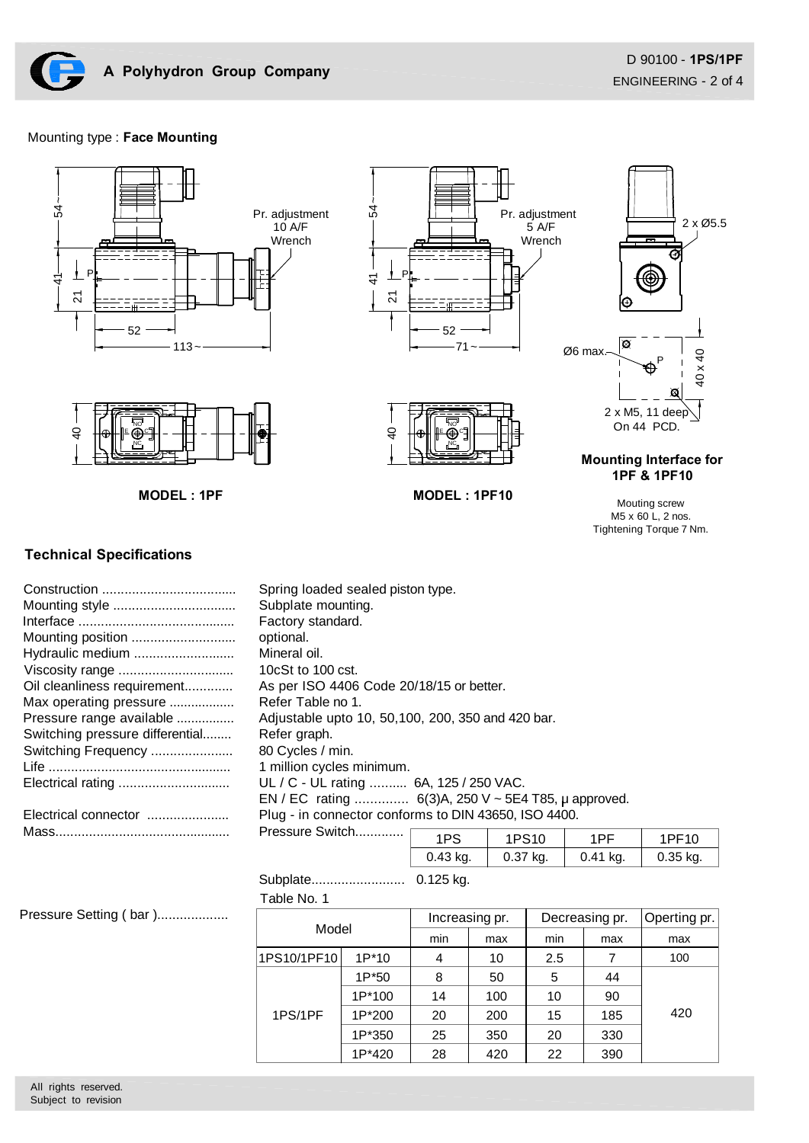

#### Mounting type : **Face Mounting**



## **Technical Specifications**

|                                 | Spring loaded sealed piston type.                     |     |                   |     |     |
|---------------------------------|-------------------------------------------------------|-----|-------------------|-----|-----|
|                                 | Subplate mounting.                                    |     |                   |     |     |
|                                 | Factory standard.                                     |     |                   |     |     |
|                                 | optional.                                             |     |                   |     |     |
| Hydraulic medium                | Mineral oil.                                          |     |                   |     |     |
|                                 | 10 $c$ St to 100 $c$ st.                              |     |                   |     |     |
| Oil cleanliness requirement     | As per ISO 4406 Code 20/18/15 or better.              |     |                   |     |     |
| Max operating pressure          | Refer Table no 1.                                     |     |                   |     |     |
| Pressure range available        | Adjustable upto 10, 50, 100, 200, 350 and 420 bar.    |     |                   |     |     |
| Switching pressure differential | Refer graph.                                          |     |                   |     |     |
| Switching Frequency             | 80 Cycles / min.                                      |     |                   |     |     |
|                                 | 1 million cycles minimum.                             |     |                   |     |     |
|                                 | UL / C - UL rating  6A, 125 / 250 VAC.                |     |                   |     |     |
|                                 | EN / EC rating $6(3)A$ , 250 V ~ 5E4 T85, µ approved. |     |                   |     |     |
| Electrical connector            | Plug - in connector conforms to DIN 43650, ISO 4400.  |     |                   |     |     |
|                                 | Pressure Switch                                       | 1PS | 1PS <sub>10</sub> | 1PF | 1 F |
|                                 |                                                       |     |                   |     |     |

|          | PS10        |            |            |
|----------|-------------|------------|------------|
| 0.43 kg. | 0.37<br>kg. | $0.41$ kg. | $0.35$ kg. |

 Subplate......................... 0.125 kg. Table No. 1

Pressure Setting (bar )...................

| Model       |         | Increasing pr. |     | Decreasing pr. |     | Operting pr. |
|-------------|---------|----------------|-----|----------------|-----|--------------|
|             |         | min            | max | min            | max | max          |
| 1PS10/1PF10 | $1P*10$ | 4              | 10  | 2.5            | 7   | 100          |
| 1PS/1PF     | 1P*50   | 8              | 50  | 5              | 44  | 420          |
|             | 1P*100  | 14             | 100 | 10             | 90  |              |
|             | 1P*200  | 20             | 200 | 15             | 185 |              |
|             | 1P*350  | 25             | 350 | 20             | 330 |              |
|             | 1P*420  | 28             | 420 | 22             | 390 |              |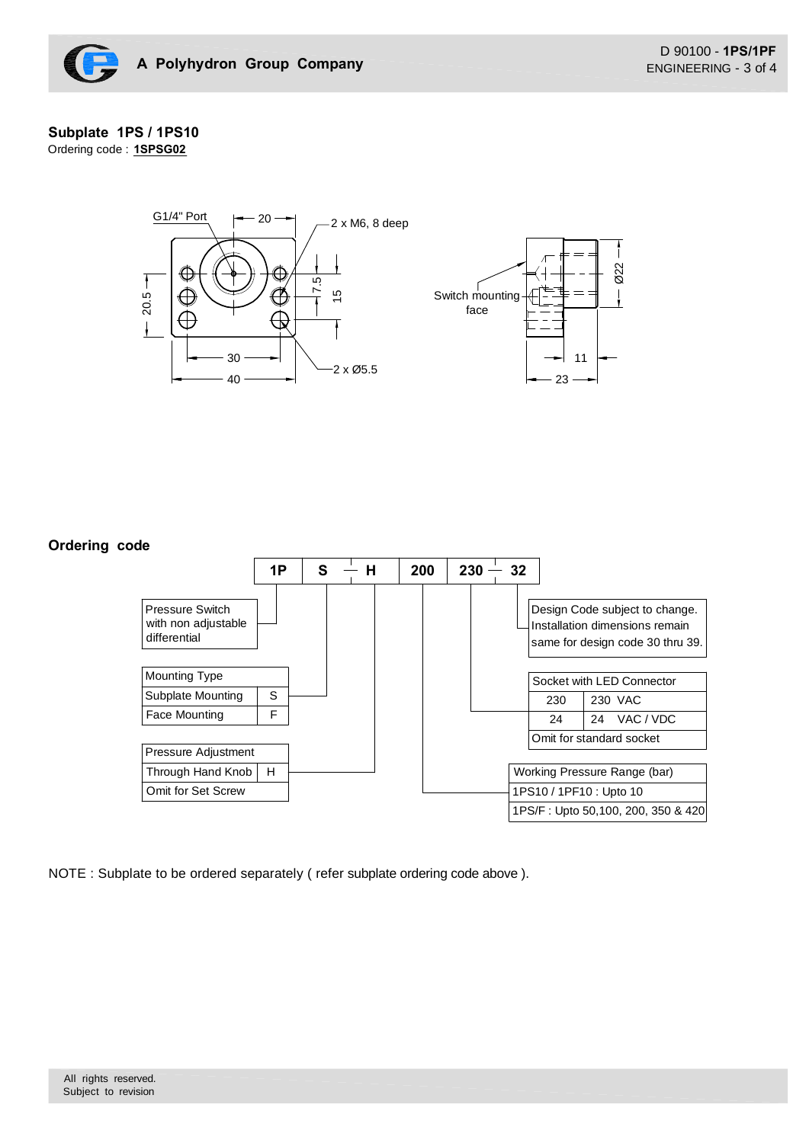

#### **Subplate 1PS / 1PS10** Ordering code : **1SPSG02**



#### **Ordering code**



NOTE : Subplate to be ordered separately ( refer subplate ordering code above ).